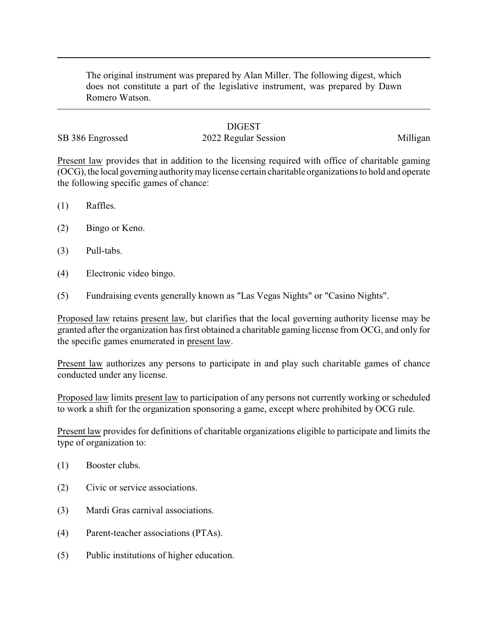The original instrument was prepared by Alan Miller. The following digest, which does not constitute a part of the legislative instrument, was prepared by Dawn Romero Watson.

## **DIGEST**

## SB 386 Engrossed 2022 Regular Session 2023 Milligan

Present law provides that in addition to the licensing required with office of charitable gaming (OCG), the local governing authoritymaylicense certain charitable organizations to hold and operate the following specific games of chance:

- (1) Raffles.
- (2) Bingo or Keno.
- (3) Pull-tabs.
- (4) Electronic video bingo.
- (5) Fundraising events generally known as "Las Vegas Nights" or "Casino Nights".

Proposed law retains present law, but clarifies that the local governing authority license may be granted after the organization has first obtained a charitable gaming license from OCG, and only for the specific games enumerated in present law.

Present law authorizes any persons to participate in and play such charitable games of chance conducted under any license.

Proposed law limits present law to participation of any persons not currently working or scheduled to work a shift for the organization sponsoring a game, except where prohibited by OCG rule.

Present law provides for definitions of charitable organizations eligible to participate and limits the type of organization to:

- (1) Booster clubs.
- (2) Civic or service associations.
- (3) Mardi Gras carnival associations.
- (4) Parent-teacher associations (PTAs).
- (5) Public institutions of higher education.